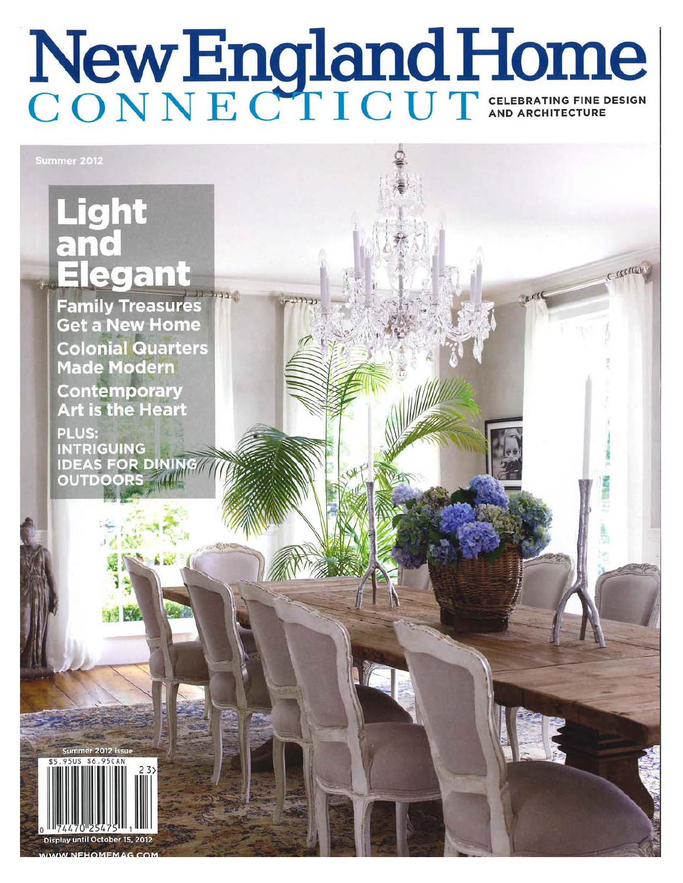## New England Home

CESSEEN

## **Light** egant J.J. Julian

**Family Treasures Get a New Home Colonial Quarters Made Modern** Contemporary **Art is the Heart** 

**PLUS: INTRIGUING IDEAS FOR DINING OUTDOORS** 



**UNEHOMEMA**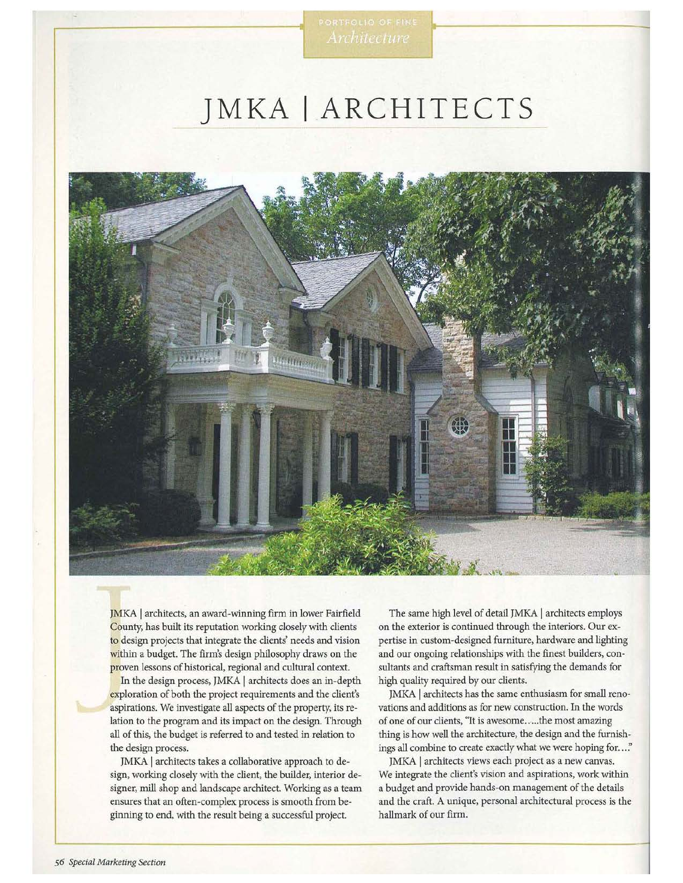## **JMKA I ARCHITECTS**



JMKA | architects, an award-winning firm in lower Fairfield County, has built its reputation working closely with clients to design projects that integrate the clients' needs and vision within a budget. The firm's design philosophy draws on the proven lessons of historical, regional and cultural context.

In the design process, JMKA | architects does an in-depth exploration of both the project requirements and the client's aspirations. We investigate all aspects of the property, its relation to the program and its impact on the design. Through all of this, the budget is referred to and tested in relation to the design process.

JMKA | architects takes a collaborative approach to design, working closely with the client, the builder, interior designer, mill shop and landscape architect. Working as a team ensures that an often-complex process is smooth from beginning to end, with the result being a successful project.

The same high level of detail JMKA | architects employs on the exterior is continued through the interiors. Our expertise in custom-designed furniture, hardware and lighting and our ongoing relationships with the finest builders, consultants and craftsman result in satisfying the demands for high quality required by our clients.

JMKA | architects has the same enthusiasm for small renovations and additions as for new construction. In the words of one of our clients, "It is awesome ..... the most amazing thing is how well the architecture, the design and the furnishings all combine to create exactly what we were hoping for..."

JMKA | architects views each project as a new canvas. We integrate the client's vision and aspirations, work within a budget and provide hands-on management of the details and the craft. A unique, personal architectural process is the hallmark of our firm.